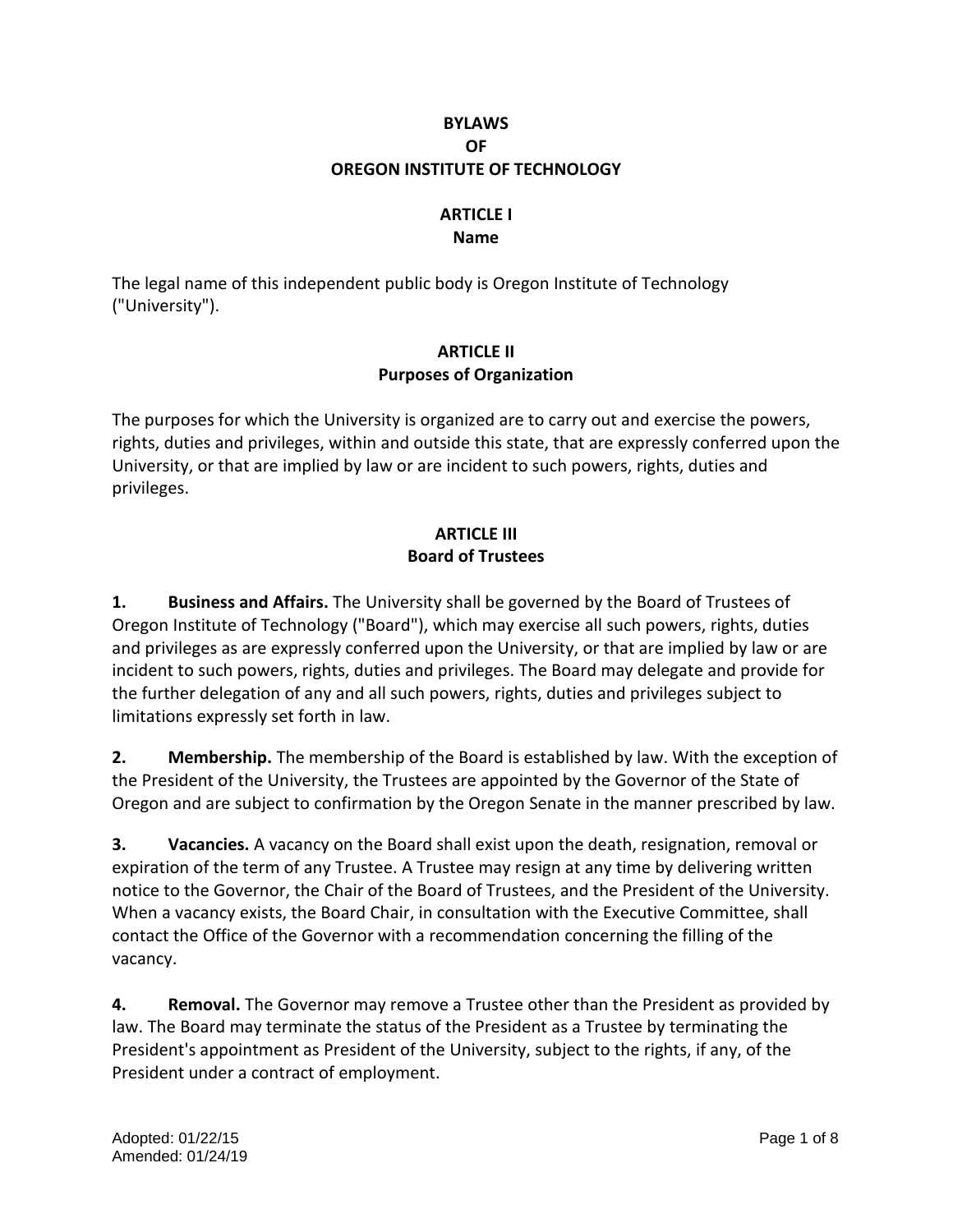## **BYLAWS OF OREGON INSTITUTE OF TECHNOLOGY**

# **ARTICLE I**

**Name**

The legal name of this independent public body is Oregon Institute of Technology ("University").

## **ARTICLE II Purposes of Organization**

The purposes for which the University is organized are to carry out and exercise the powers, rights, duties and privileges, within and outside this state, that are expressly conferred upon the University, or that are implied by law or are incident to such powers, rights, duties and privileges.

## **ARTICLE III Board of Trustees**

**1. Business and Affairs.** The University shall be governed by the Board of Trustees of Oregon Institute of Technology ("Board"), which may exercise all such powers, rights, duties and privileges as are expressly conferred upon the University, or that are implied by law or are incident to such powers, rights, duties and privileges. The Board may delegate and provide for the further delegation of any and all such powers, rights, duties and privileges subject to limitations expressly set forth in law.

**2. Membership.** The membership of the Board is established by law. With the exception of the President of the University, the Trustees are appointed by the Governor of the State of Oregon and are subject to confirmation by the Oregon Senate in the manner prescribed by law.

**3. Vacancies.** A vacancy on the Board shall exist upon the death, resignation, removal or expiration of the term of any Trustee. A Trustee may resign at any time by delivering written notice to the Governor, the Chair of the Board of Trustees, and the President of the University. When a vacancy exists, the Board Chair, in consultation with the Executive Committee, shall contact the Office of the Governor with a recommendation concerning the filling of the vacancy.

**4. Removal.** The Governor may remove a Trustee other than the President as provided by law. The Board may terminate the status of the President as a Trustee by terminating the President's appointment as President of the University, subject to the rights, if any, of the President under a contract of employment.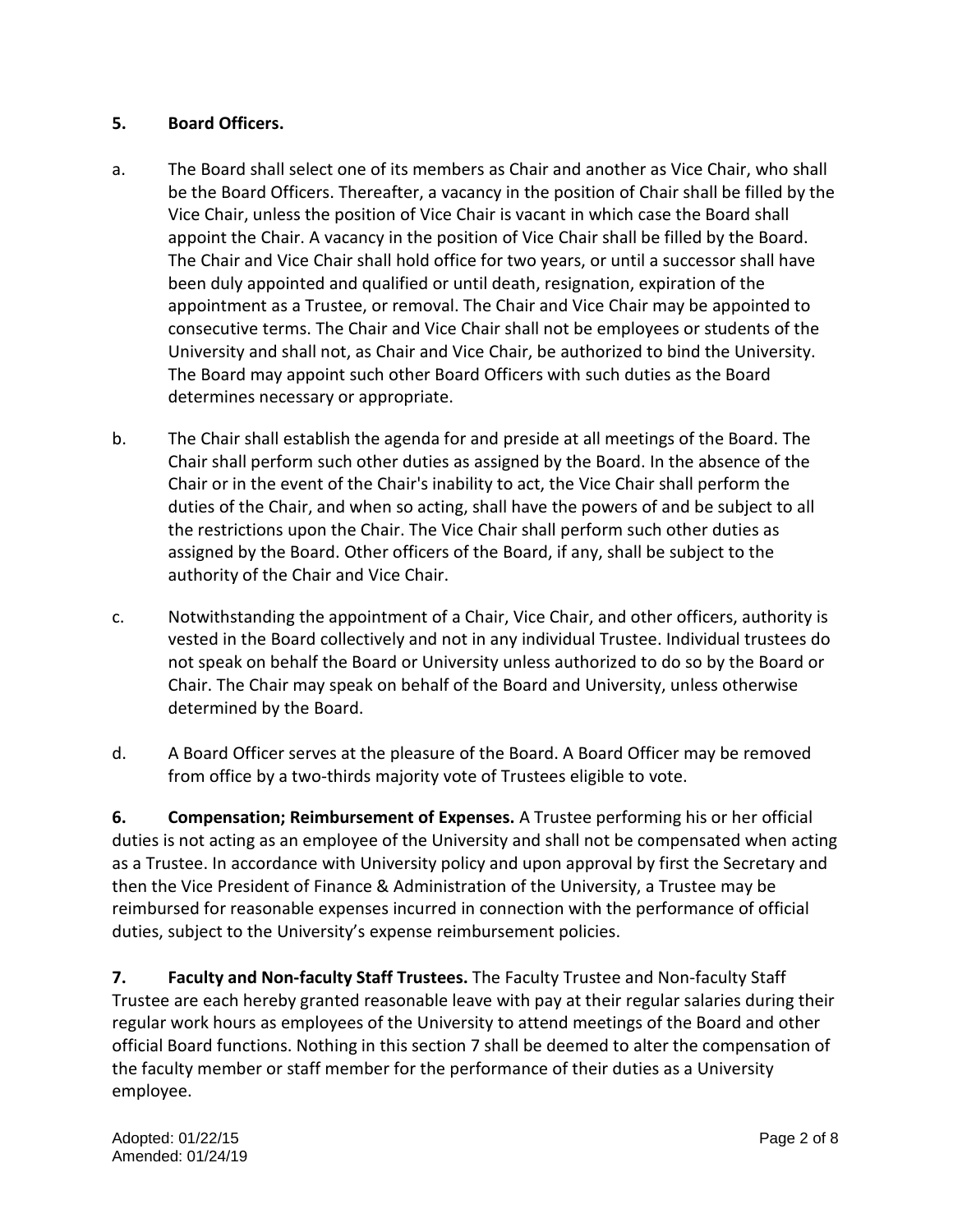## **5. Board Officers.**

- a. The Board shall select one of its members as Chair and another as Vice Chair, who shall be the Board Officers. Thereafter, a vacancy in the position of Chair shall be filled by the Vice Chair, unless the position of Vice Chair is vacant in which case the Board shall appoint the Chair. A vacancy in the position of Vice Chair shall be filled by the Board. The Chair and Vice Chair shall hold office for two years, or until a successor shall have been duly appointed and qualified or until death, resignation, expiration of the appointment as a Trustee, or removal. The Chair and Vice Chair may be appointed to consecutive terms. The Chair and Vice Chair shall not be employees or students of the University and shall not, as Chair and Vice Chair, be authorized to bind the University. The Board may appoint such other Board Officers with such duties as the Board determines necessary or appropriate.
- b. The Chair shall establish the agenda for and preside at all meetings of the Board. The Chair shall perform such other duties as assigned by the Board. In the absence of the Chair or in the event of the Chair's inability to act, the Vice Chair shall perform the duties of the Chair, and when so acting, shall have the powers of and be subject to all the restrictions upon the Chair. The Vice Chair shall perform such other duties as assigned by the Board. Other officers of the Board, if any, shall be subject to the authority of the Chair and Vice Chair.
- c. Notwithstanding the appointment of a Chair, Vice Chair, and other officers, authority is vested in the Board collectively and not in any individual Trustee. Individual trustees do not speak on behalf the Board or University unless authorized to do so by the Board or Chair. The Chair may speak on behalf of the Board and University, unless otherwise determined by the Board.
- d. A Board Officer serves at the pleasure of the Board. A Board Officer may be removed from office by a two-thirds majority vote of Trustees eligible to vote.

**6. Compensation; Reimbursement of Expenses.** A Trustee performing his or her official duties is not acting as an employee of the University and shall not be compensated when acting as a Trustee. In accordance with University policy and upon approval by first the Secretary and then the Vice President of Finance & Administration of the University, a Trustee may be reimbursed for reasonable expenses incurred in connection with the performance of official duties, subject to the University's expense reimbursement policies.

**7. Faculty and Non-faculty Staff Trustees.** The Faculty Trustee and Non-faculty Staff Trustee are each hereby granted reasonable leave with pay at their regular salaries during their regular work hours as employees of the University to attend meetings of the Board and other official Board functions. Nothing in this section 7 shall be deemed to alter the compensation of the faculty member or staff member for the performance of their duties as a University employee.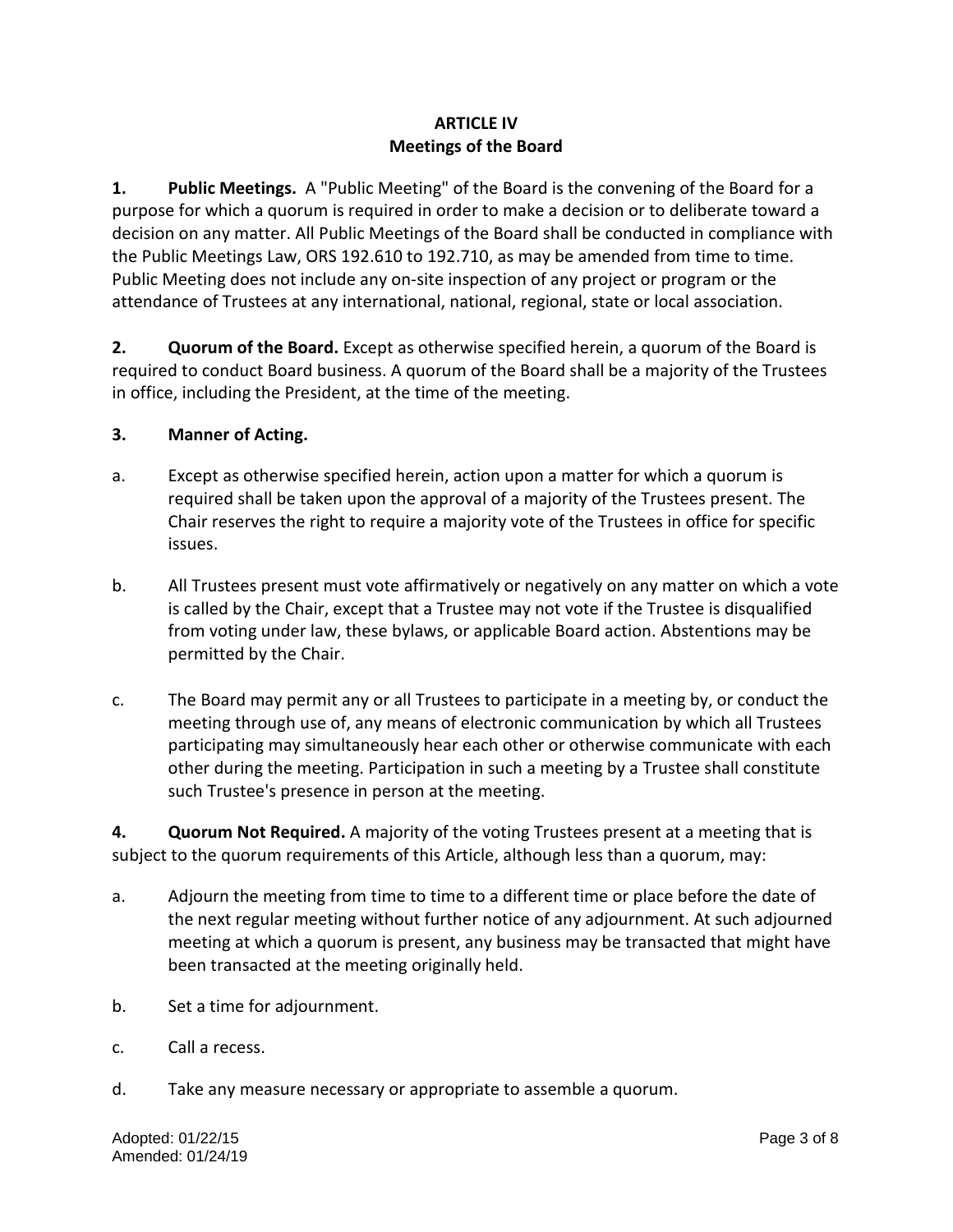## **ARTICLE IV Meetings of the Board**

**1. Public Meetings.** A "Public Meeting" of the Board is the convening of the Board for a purpose for which a quorum is required in order to make a decision or to deliberate toward a decision on any matter. All Public Meetings of the Board shall be conducted in compliance with the Public Meetings Law, ORS 192.610 to 192.710, as may be amended from time to time. Public Meeting does not include any on-site inspection of any project or program or the attendance of Trustees at any international, national, regional, state or local association.

**2. Quorum of the Board.** Except as otherwise specified herein, a quorum of the Board is required to conduct Board business. A quorum of the Board shall be a majority of the Trustees in office, including the President, at the time of the meeting.

## **3. Manner of Acting.**

- a. Except as otherwise specified herein, action upon a matter for which a quorum is required shall be taken upon the approval of a majority of the Trustees present. The Chair reserves the right to require a majority vote of the Trustees in office for specific issues.
- b. All Trustees present must vote affirmatively or negatively on any matter on which a vote is called by the Chair, except that a Trustee may not vote if the Trustee is disqualified from voting under law, these bylaws, or applicable Board action. Abstentions may be permitted by the Chair.
- c. The Board may permit any or all Trustees to participate in a meeting by, or conduct the meeting through use of, any means of electronic communication by which all Trustees participating may simultaneously hear each other or otherwise communicate with each other during the meeting. Participation in such a meeting by a Trustee shall constitute such Trustee's presence in person at the meeting.

**4. Quorum Not Required.** A majority of the voting Trustees present at a meeting that is subject to the quorum requirements of this Article, although less than a quorum, may:

- a. Adjourn the meeting from time to time to a different time or place before the date of the next regular meeting without further notice of any adjournment. At such adjourned meeting at which a quorum is present, any business may be transacted that might have been transacted at the meeting originally held.
- b. Set a time for adjournment.
- c. Call a recess.
- d. Take any measure necessary or appropriate to assemble a quorum.

Adopted: 01/22/15 Page 3 of 8 Amended: 01/24/19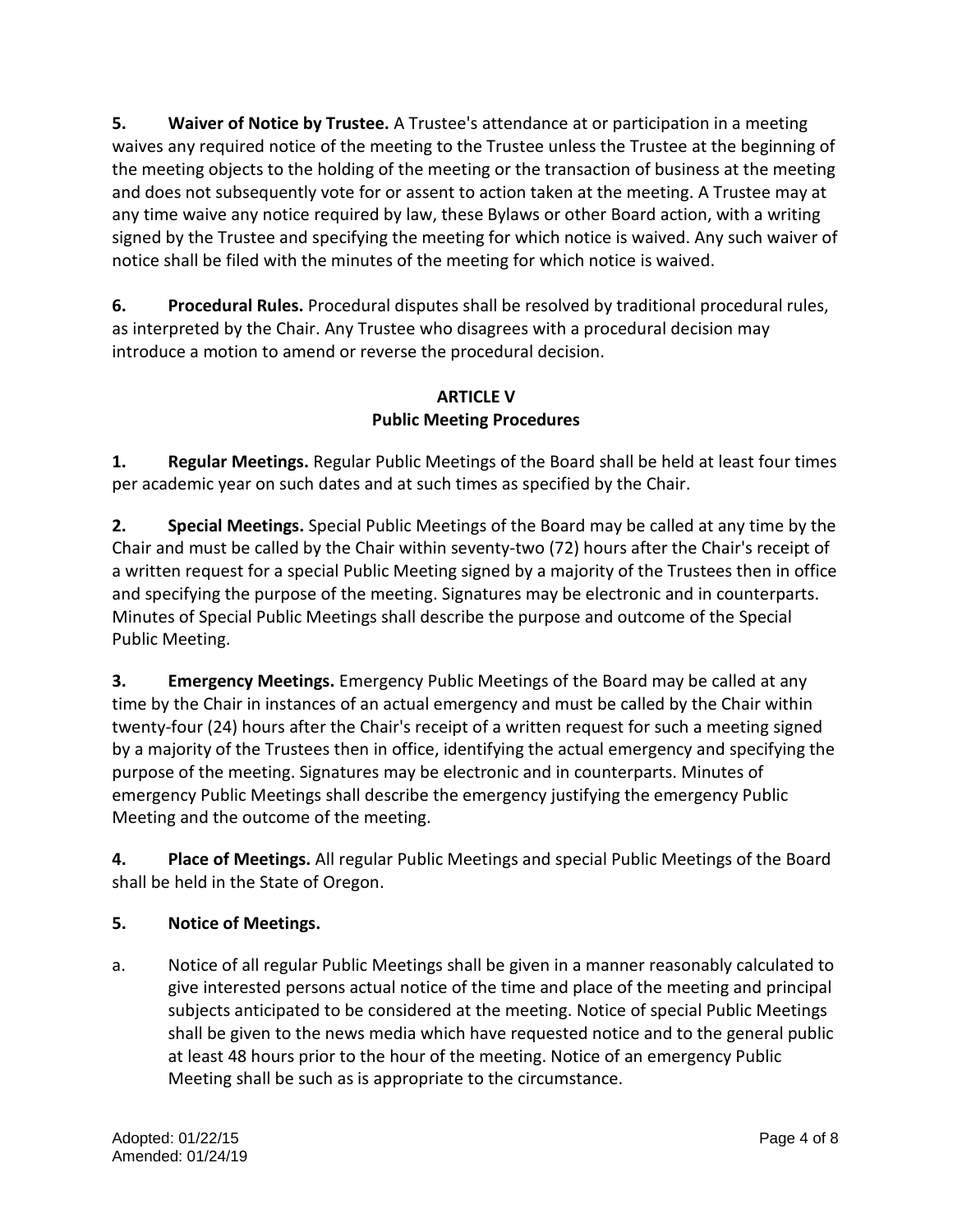**5. Waiver of Notice by Trustee.** A Trustee's attendance at or participation in a meeting waives any required notice of the meeting to the Trustee unless the Trustee at the beginning of the meeting objects to the holding of the meeting or the transaction of business at the meeting and does not subsequently vote for or assent to action taken at the meeting. A Trustee may at any time waive any notice required by law, these Bylaws or other Board action, with a writing signed by the Trustee and specifying the meeting for which notice is waived. Any such waiver of notice shall be filed with the minutes of the meeting for which notice is waived.

**6. Procedural Rules.** Procedural disputes shall be resolved by traditional procedural rules, as interpreted by the Chair. Any Trustee who disagrees with a procedural decision may introduce a motion to amend or reverse the procedural decision.

# **ARTICLE V Public Meeting Procedures**

**1. Regular Meetings.** Regular Public Meetings of the Board shall be held at least four times per academic year on such dates and at such times as specified by the Chair.

**2. Special Meetings.** Special Public Meetings of the Board may be called at any time by the Chair and must be called by the Chair within seventy-two (72) hours after the Chair's receipt of a written request for a special Public Meeting signed by a majority of the Trustees then in office and specifying the purpose of the meeting. Signatures may be electronic and in counterparts. Minutes of Special Public Meetings shall describe the purpose and outcome of the Special Public Meeting.

**3. Emergency Meetings.** Emergency Public Meetings of the Board may be called at any time by the Chair in instances of an actual emergency and must be called by the Chair within twenty-four (24) hours after the Chair's receipt of a written request for such a meeting signed by a majority of the Trustees then in office, identifying the actual emergency and specifying the purpose of the meeting. Signatures may be electronic and in counterparts. Minutes of emergency Public Meetings shall describe the emergency justifying the emergency Public Meeting and the outcome of the meeting.

**4. Place of Meetings.** All regular Public Meetings and special Public Meetings of the Board shall be held in the State of Oregon.

# **5. Notice of Meetings.**

a. Notice of all regular Public Meetings shall be given in a manner reasonably calculated to give interested persons actual notice of the time and place of the meeting and principal subjects anticipated to be considered at the meeting. Notice of special Public Meetings shall be given to the news media which have requested notice and to the general public at least 48 hours prior to the hour of the meeting. Notice of an emergency Public Meeting shall be such as is appropriate to the circumstance.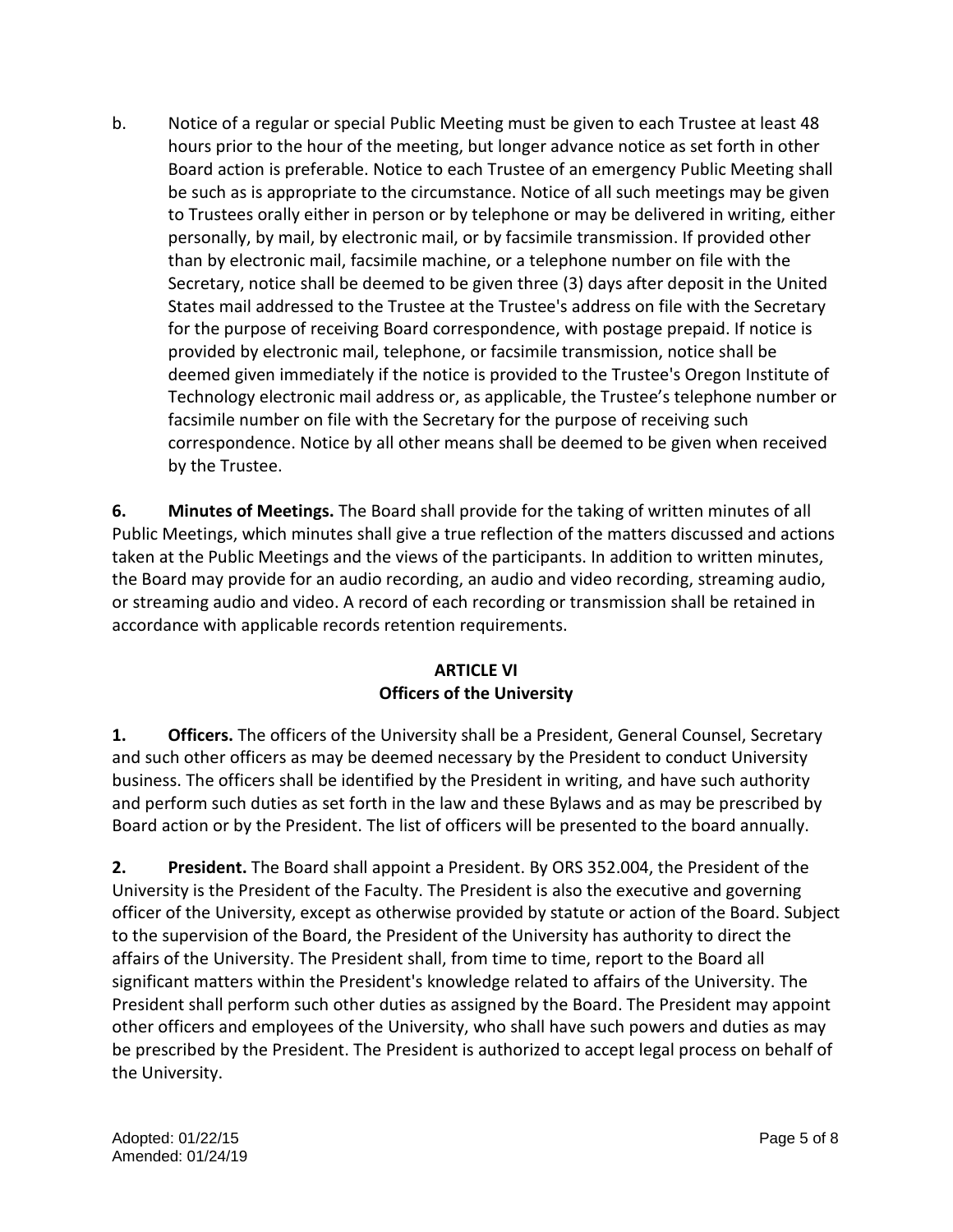b. Notice of a regular or special Public Meeting must be given to each Trustee at least 48 hours prior to the hour of the meeting, but longer advance notice as set forth in other Board action is preferable. Notice to each Trustee of an emergency Public Meeting shall be such as is appropriate to the circumstance. Notice of all such meetings may be given to Trustees orally either in person or by telephone or may be delivered in writing, either personally, by mail, by electronic mail, or by facsimile transmission. If provided other than by electronic mail, facsimile machine, or a telephone number on file with the Secretary, notice shall be deemed to be given three (3) days after deposit in the United States mail addressed to the Trustee at the Trustee's address on file with the Secretary for the purpose of receiving Board correspondence, with postage prepaid. If notice is provided by electronic mail, telephone, or facsimile transmission, notice shall be deemed given immediately if the notice is provided to the Trustee's Oregon Institute of Technology electronic mail address or, as applicable, the Trustee's telephone number or facsimile number on file with the Secretary for the purpose of receiving such correspondence. Notice by all other means shall be deemed to be given when received by the Trustee.

**6. Minutes of Meetings.** The Board shall provide for the taking of written minutes of all Public Meetings, which minutes shall give a true reflection of the matters discussed and actions taken at the Public Meetings and the views of the participants. In addition to written minutes, the Board may provide for an audio recording, an audio and video recording, streaming audio, or streaming audio and video. A record of each recording or transmission shall be retained in accordance with applicable records retention requirements.

## **ARTICLE VI Officers of the University**

**1. Officers.** The officers of the University shall be a President, General Counsel, Secretary and such other officers as may be deemed necessary by the President to conduct University business. The officers shall be identified by the President in writing, and have such authority and perform such duties as set forth in the law and these Bylaws and as may be prescribed by Board action or by the President. The list of officers will be presented to the board annually.

**2. President.** The Board shall appoint a President. By ORS 352.004, the President of the University is the President of the Faculty. The President is also the executive and governing officer of the University, except as otherwise provided by statute or action of the Board. Subject to the supervision of the Board, the President of the University has authority to direct the affairs of the University. The President shall, from time to time, report to the Board all significant matters within the President's knowledge related to affairs of the University. The President shall perform such other duties as assigned by the Board. The President may appoint other officers and employees of the University, who shall have such powers and duties as may be prescribed by the President. The President is authorized to accept legal process on behalf of the University.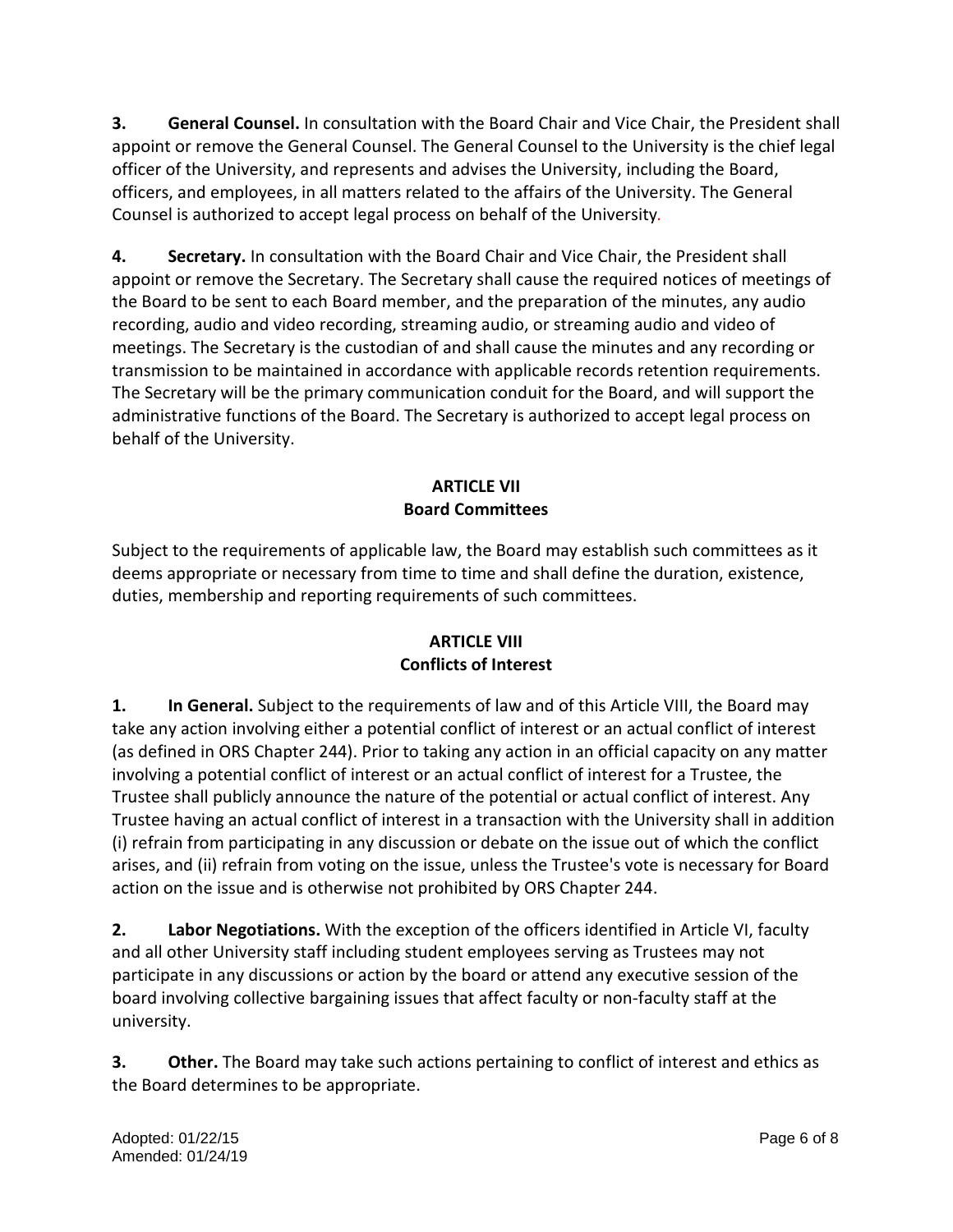**3. General Counsel.** In consultation with the Board Chair and Vice Chair, the President shall appoint or remove the General Counsel. The General Counsel to the University is the chief legal officer of the University, and represents and advises the University, including the Board, officers, and employees, in all matters related to the affairs of the University. The General Counsel is authorized to accept legal process on behalf of the University*.*

**4. Secretary.** In consultation with the Board Chair and Vice Chair, the President shall appoint or remove the Secretary. The Secretary shall cause the required notices of meetings of the Board to be sent to each Board member, and the preparation of the minutes, any audio recording, audio and video recording, streaming audio, or streaming audio and video of meetings. The Secretary is the custodian of and shall cause the minutes and any recording or transmission to be maintained in accordance with applicable records retention requirements. The Secretary will be the primary communication conduit for the Board, and will support the administrative functions of the Board. The Secretary is authorized to accept legal process on behalf of the University.

## **ARTICLE VII Board Committees**

Subject to the requirements of applicable law, the Board may establish such committees as it deems appropriate or necessary from time to time and shall define the duration, existence, duties, membership and reporting requirements of such committees.

# **ARTICLE VIII Conflicts of Interest**

**1. In General.** Subject to the requirements of law and of this Article VIII, the Board may take any action involving either a potential conflict of interest or an actual conflict of interest (as defined in ORS Chapter 244). Prior to taking any action in an official capacity on any matter involving a potential conflict of interest or an actual conflict of interest for a Trustee, the Trustee shall publicly announce the nature of the potential or actual conflict of interest. Any Trustee having an actual conflict of interest in a transaction with the University shall in addition (i) refrain from participating in any discussion or debate on the issue out of which the conflict arises, and (ii) refrain from voting on the issue, unless the Trustee's vote is necessary for Board action on the issue and is otherwise not prohibited by ORS Chapter 244.

**2. Labor Negotiations.** With the exception of the officers identified in Article VI, faculty and all other University staff including student employees serving as Trustees may not participate in any discussions or action by the board or attend any executive session of the board involving collective bargaining issues that affect faculty or non-faculty staff at the university.

**3. Other.** The Board may take such actions pertaining to conflict of interest and ethics as the Board determines to be appropriate.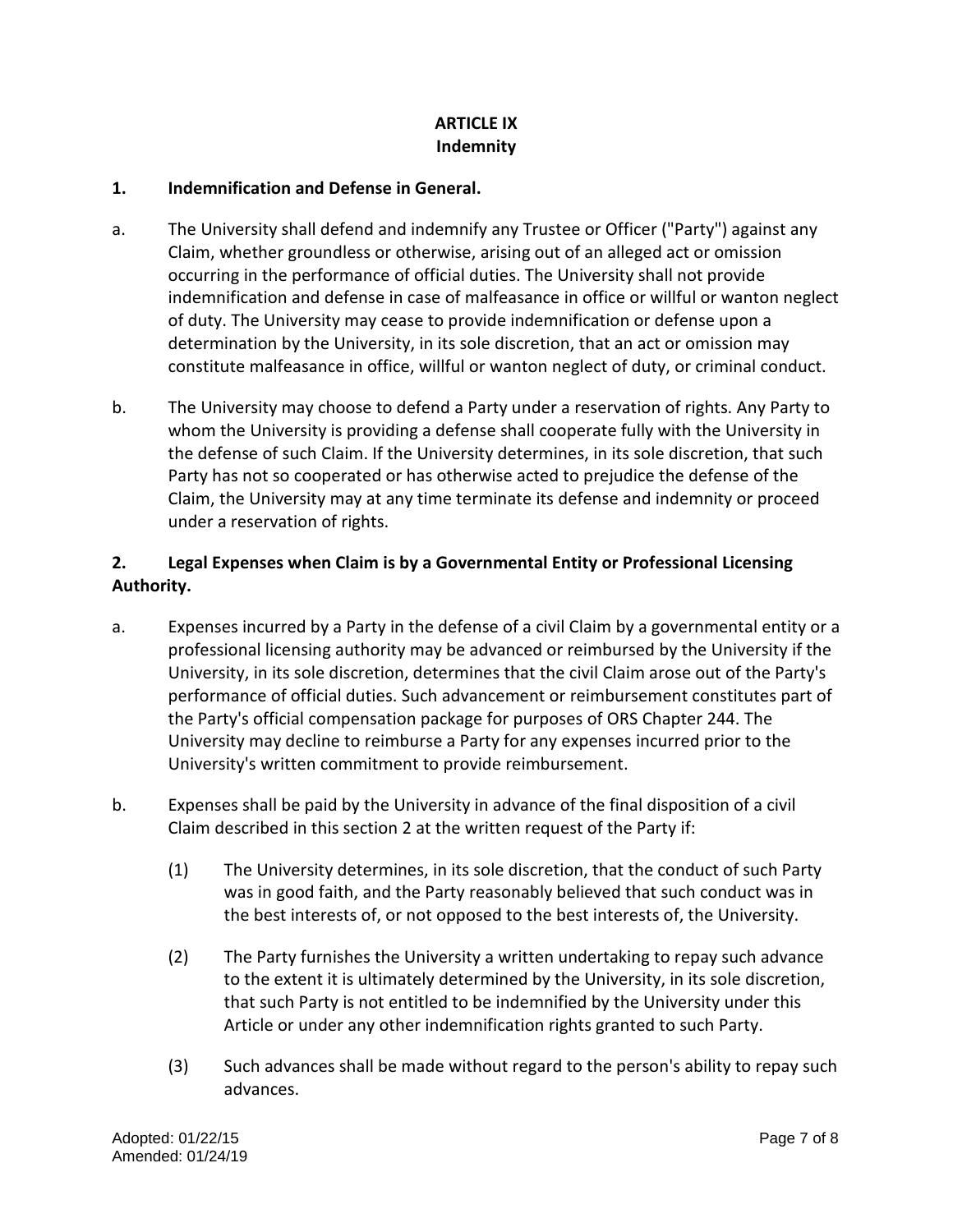## **ARTICLE IX Indemnity**

#### **1. Indemnification and Defense in General.**

- a. The University shall defend and indemnify any Trustee or Officer ("Party") against any Claim, whether groundless or otherwise, arising out of an alleged act or omission occurring in the performance of official duties. The University shall not provide indemnification and defense in case of malfeasance in office or willful or wanton neglect of duty. The University may cease to provide indemnification or defense upon a determination by the University, in its sole discretion, that an act or omission may constitute malfeasance in office, willful or wanton neglect of duty, or criminal conduct.
- b. The University may choose to defend a Party under a reservation of rights. Any Party to whom the University is providing a defense shall cooperate fully with the University in the defense of such Claim. If the University determines, in its sole discretion, that such Party has not so cooperated or has otherwise acted to prejudice the defense of the Claim, the University may at any time terminate its defense and indemnity or proceed under a reservation of rights.

## **2. Legal Expenses when Claim is by a Governmental Entity or Professional Licensing Authority.**

- a. Expenses incurred by a Party in the defense of a civil Claim by a governmental entity or a professional licensing authority may be advanced or reimbursed by the University if the University, in its sole discretion, determines that the civil Claim arose out of the Party's performance of official duties. Such advancement or reimbursement constitutes part of the Party's official compensation package for purposes of ORS Chapter 244. The University may decline to reimburse a Party for any expenses incurred prior to the University's written commitment to provide reimbursement.
- b. Expenses shall be paid by the University in advance of the final disposition of a civil Claim described in this section 2 at the written request of the Party if:
	- (1) The University determines, in its sole discretion, that the conduct of such Party was in good faith, and the Party reasonably believed that such conduct was in the best interests of, or not opposed to the best interests of, the University.
	- (2) The Party furnishes the University a written undertaking to repay such advance to the extent it is ultimately determined by the University, in its sole discretion, that such Party is not entitled to be indemnified by the University under this Article or under any other indemnification rights granted to such Party.
	- (3) Such advances shall be made without regard to the person's ability to repay such advances.